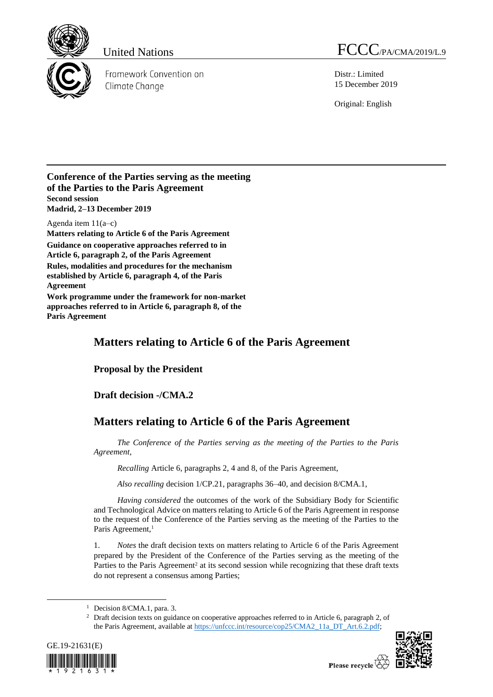

Framework Convention on Climate Change

United Nations FCCC/PA/CMA/2019/L.9

Distr.: Limited 15 December 2019

Original: English

## **Conference of the Parties serving as the meeting of the Parties to the Paris Agreement Second session Madrid, 2–13 December 2019**

Agenda item 11(a–c) **Matters relating to Article 6 of the Paris Agreement Guidance on cooperative approaches referred to in Article 6, paragraph 2, of the Paris Agreement Rules, modalities and procedures for the mechanism established by Article 6, paragraph 4, of the Paris Agreement Work programme under the framework for non-market** 

**approaches referred to in Article 6, paragraph 8, of the Paris Agreement**

## **Matters relating to Article 6 of the Paris Agreement**

**Proposal by the President**

**Draft decision -/CMA.2**

## **Matters relating to Article 6 of the Paris Agreement**

*The Conference of the Parties serving as the meeting of the Parties to the Paris Agreement*,

*Recalling* Article 6, paragraphs 2, 4 and 8, of the Paris Agreement,

*Also recalling* decision 1/CP.21, paragraphs 36–40, and decision 8/CMA.1,

*Having considered* the outcomes of the work of the Subsidiary Body for Scientific and Technological Advice on matters relating to Article 6 of the Paris Agreement in response to the request of the Conference of the Parties serving as the meeting of the Parties to the Paris Agreement, 1

1. *Notes* the draft decision texts on matters relating to Article 6 of the Paris Agreement prepared by the President of the Conference of the Parties serving as the meeting of the Parties to the Paris Agreement<sup>2</sup> at its second session while recognizing that these draft texts do not represent a consensus among Parties;

<sup>&</sup>lt;sup>2</sup> Draft decision texts on guidance on cooperative approaches referred to in Article 6, paragraph 2, of the Paris Agreement, available at [https://unfccc.int/resource/cop25/CMA2\\_11a\\_DT\\_Art.6.2.pdf;](https://unfccc.int/resource/cop25/CMA2_11a_DT_Art.6.2.pdf)



 $\overline{a}$ 



<sup>&</sup>lt;sup>1</sup> Decision 8/CMA.1, para. 3.